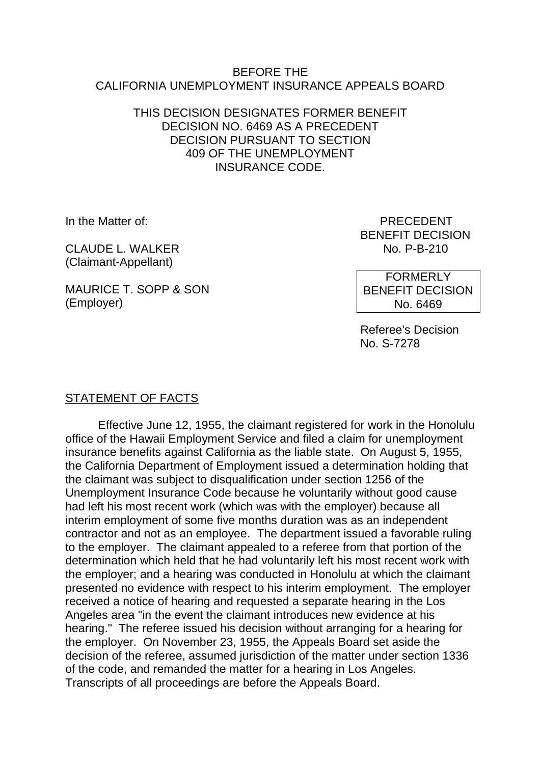#### BEFORE THE CALIFORNIA UNEMPLOYMENT INSURANCE APPEALS BOARD

#### THIS DECISION DESIGNATES FORMER BENEFIT DECISION NO. 6469 AS A PRECEDENT DECISION PURSUANT TO SECTION 409 OF THE UNEMPLOYMENT INSURANCE CODE.

CLAUDE L. WALKER NO. P-B-210 (Claimant-Appellant)

MAURICE T. SOPP & SON (Employer)

In the Matter of: PRECEDENT BENEFIT DECISION

> FORMERLY BENEFIT DECISION No. 6469

Referee's Decision No. S-7278

# STATEMENT OF FACTS

Effective June 12, 1955, the claimant registered for work in the Honolulu office of the Hawaii Employment Service and filed a claim for unemployment insurance benefits against California as the liable state. On August 5, 1955, the California Department of Employment issued a determination holding that the claimant was subject to disqualification under section 1256 of the Unemployment Insurance Code because he voluntarily without good cause had left his most recent work (which was with the employer) because all interim employment of some five months duration was as an independent contractor and not as an employee. The department issued a favorable ruling to the employer. The claimant appealed to a referee from that portion of the determination which held that he had voluntarily left his most recent work with the employer; and a hearing was conducted in Honolulu at which the claimant presented no evidence with respect to his interim employment. The employer received a notice of hearing and requested a separate hearing in the Los Angeles area "in the event the claimant introduces new evidence at his hearing." The referee issued his decision without arranging for a hearing for the employer. On November 23, 1955, the Appeals Board set aside the decision of the referee, assumed jurisdiction of the matter under section 1336 of the code, and remanded the matter for a hearing in Los Angeles. Transcripts of all proceedings are before the Appeals Board.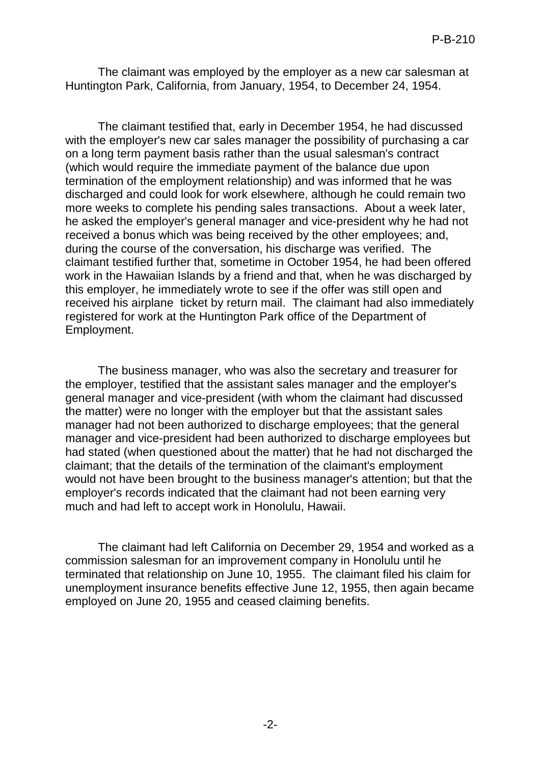The claimant was employed by the employer as a new car salesman at Huntington Park, California, from January, 1954, to December 24, 1954.

The claimant testified that, early in December 1954, he had discussed with the employer's new car sales manager the possibility of purchasing a car on a long term payment basis rather than the usual salesman's contract (which would require the immediate payment of the balance due upon termination of the employment relationship) and was informed that he was discharged and could look for work elsewhere, although he could remain two more weeks to complete his pending sales transactions. About a week later, he asked the employer's general manager and vice-president why he had not received a bonus which was being received by the other employees; and, during the course of the conversation, his discharge was verified. The claimant testified further that, sometime in October 1954, he had been offered work in the Hawaiian Islands by a friend and that, when he was discharged by this employer, he immediately wrote to see if the offer was still open and received his airplane ticket by return mail. The claimant had also immediately registered for work at the Huntington Park office of the Department of Employment.

The business manager, who was also the secretary and treasurer for the employer, testified that the assistant sales manager and the employer's general manager and vice-president (with whom the claimant had discussed the matter) were no longer with the employer but that the assistant sales manager had not been authorized to discharge employees; that the general manager and vice-president had been authorized to discharge employees but had stated (when questioned about the matter) that he had not discharged the claimant; that the details of the termination of the claimant's employment would not have been brought to the business manager's attention; but that the employer's records indicated that the claimant had not been earning very much and had left to accept work in Honolulu, Hawaii.

The claimant had left California on December 29, 1954 and worked as a commission salesman for an improvement company in Honolulu until he terminated that relationship on June 10, 1955. The claimant filed his claim for unemployment insurance benefits effective June 12, 1955, then again became employed on June 20, 1955 and ceased claiming benefits.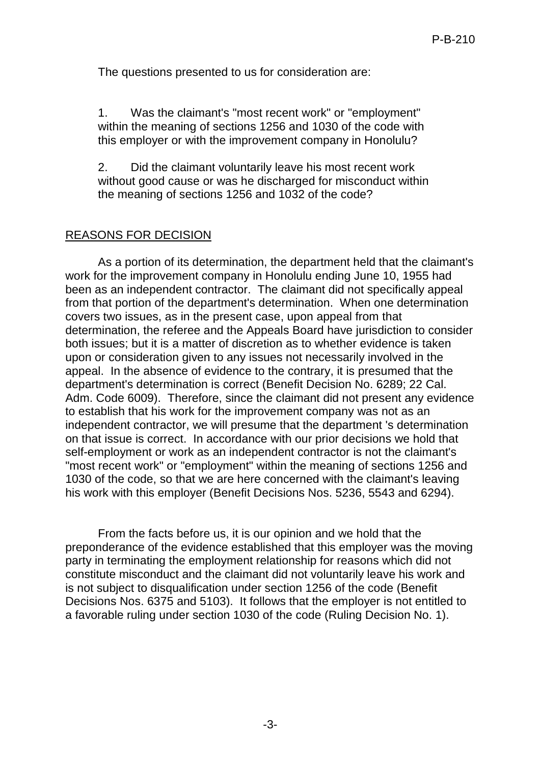The questions presented to us for consideration are:

1. Was the claimant's "most recent work" or "employment" within the meaning of sections 1256 and 1030 of the code with this employer or with the improvement company in Honolulu?

2. Did the claimant voluntarily leave his most recent work without good cause or was he discharged for misconduct within the meaning of sections 1256 and 1032 of the code?

# REASONS FOR DECISION

As a portion of its determination, the department held that the claimant's work for the improvement company in Honolulu ending June 10, 1955 had been as an independent contractor. The claimant did not specifically appeal from that portion of the department's determination. When one determination covers two issues, as in the present case, upon appeal from that determination, the referee and the Appeals Board have jurisdiction to consider both issues; but it is a matter of discretion as to whether evidence is taken upon or consideration given to any issues not necessarily involved in the appeal. In the absence of evidence to the contrary, it is presumed that the department's determination is correct (Benefit Decision No. 6289; 22 Cal. Adm. Code 6009). Therefore, since the claimant did not present any evidence to establish that his work for the improvement company was not as an independent contractor, we will presume that the department 's determination on that issue is correct. In accordance with our prior decisions we hold that self-employment or work as an independent contractor is not the claimant's "most recent work" or "employment" within the meaning of sections 1256 and 1030 of the code, so that we are here concerned with the claimant's leaving his work with this employer (Benefit Decisions Nos. 5236, 5543 and 6294).

From the facts before us, it is our opinion and we hold that the preponderance of the evidence established that this employer was the moving party in terminating the employment relationship for reasons which did not constitute misconduct and the claimant did not voluntarily leave his work and is not subject to disqualification under section 1256 of the code (Benefit Decisions Nos. 6375 and 5103). It follows that the employer is not entitled to a favorable ruling under section 1030 of the code (Ruling Decision No. 1).